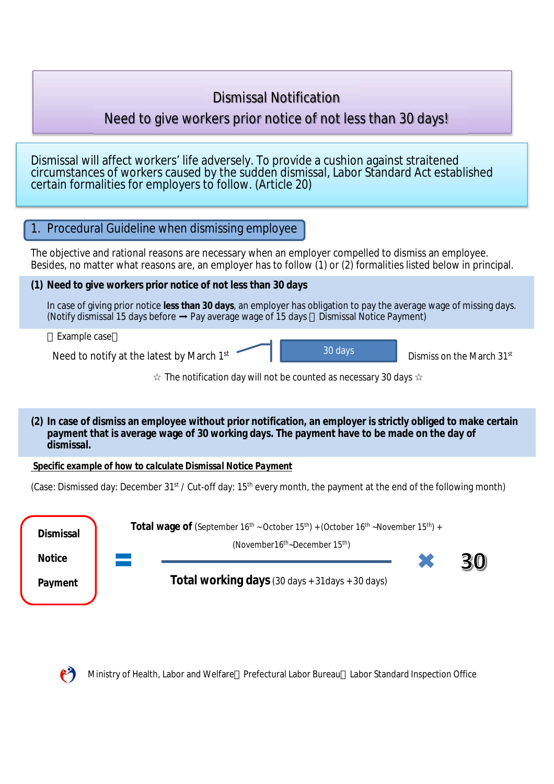# Dismissal Notification

# Need to give workers prior notice of not less than 30 days!

Dismissal will affect workers' life adversely. To provide a cushion against straitened circumstances of workers caused by the sudden dismissal, Labor Standard Act established certain formalities for employers to follow. (Article 20)

# 1. Procedural Guideline when dismissing employee The objective and rational reasons are necessary when an employer compelled to dismiss an employee. Besides, no matter what reasons are, an employer has to follow (1) or (2) formalities listed below in principal. **(1) Need to give workers prior notice of not less than 30 days** In case of giving prior notice **less than 30 days**, an employer has obligation to pay the average wage of missing days. (Notify dismissal 15 days before  $\rightarrow$  Pay average wage of 15 days Dismissal Notice Payment) Example case Need to notify at the latest by March 1st Dismiss on the March 31st 30 days

#### The notification day will not be counted as necessary 30 days

**(2) In case of dismiss an employee without prior notification, an employer is strictly obliged to make certain payment that is average wage of 30 working days. The payment have to be made on the day of dismissal.**

*Specific example of how to calculate Dismissal Notice Payment*

(Case: Dismissed day: December 31<sup>st</sup> / Cut-off day: 15<sup>th</sup> every month, the payment at the end of the following month)





Ministry of Health, Labor and Welfare Prefectural Labor Bureau Labor Standard Inspection Office